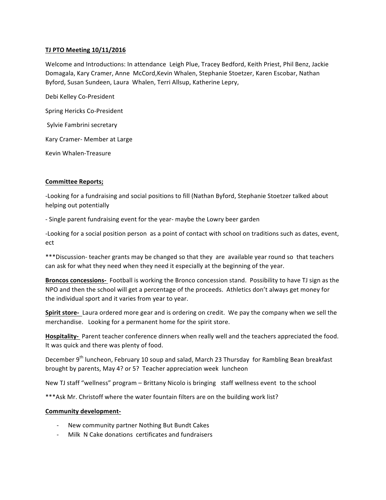## **TJ PTO Meeting 10/11/2016**

Welcome and Introductions: In attendance Leigh Plue, Tracey Bedford, Keith Priest, Phil Benz, Jackie Domagala, Kary Cramer, Anne McCord,Kevin Whalen, Stephanie Stoetzer, Karen Escobar, Nathan Byford, Susan Sundeen, Laura Whalen, Terri Allsup, Katherine Lepry,

Debi Kelley Co-President Spring Hericks Co-President Sylvie Fambrini secretary Kary Cramer- Member at Large Kevin Whalen-Treasure

## **Committee Reports;**

-Looking for a fundraising and social positions to fill (Nathan Byford, Stephanie Stoetzer talked about helping out potentially

- Single parent fundraising event for the year- maybe the Lowry beer garden

-Looking for a social position person as a point of contact with school on traditions such as dates, event, ect

\*\*\*Discussion- teacher grants may be changed so that they are available year round so that teachers can ask for what they need when they need it especially at the beginning of the year.

**Broncos concessions-** Football is working the Bronco concession stand. Possibility to have TJ sign as the NPO and then the school will get a percentage of the proceeds. Athletics don't always get money for the individual sport and it varies from year to year.

**Spirit store-** Laura ordered more gear and is ordering on credit. We pay the company when we sell the merchandise. Looking for a permanent home for the spirit store.

Hospitality- Parent teacher conference dinners when really well and the teachers appreciated the food. It was quick and there was plenty of food.

December 9<sup>th</sup> luncheon, February 10 soup and salad, March 23 Thursday for Rambling Bean breakfast brought by parents, May 4? or 5? Teacher appreciation week luncheon

New TJ staff "wellness" program – Brittany Nicolo is bringing staff wellness event to the school

\*\*\*Ask Mr. Christoff where the water fountain filters are on the building work list?

## **Community development-**

- New community partner Nothing But Bundt Cakes
- Milk N Cake donations certificates and fundraisers